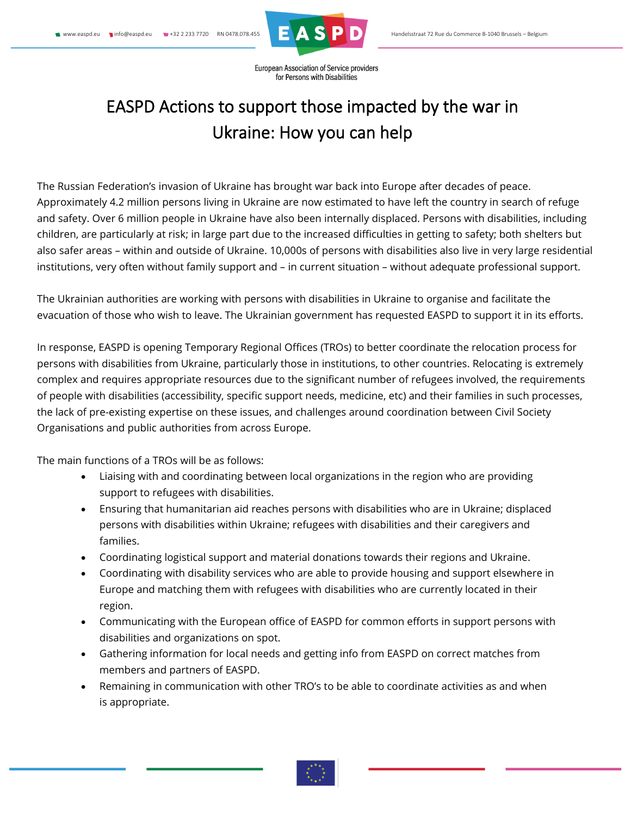

European Association of Service providers for Persons with Disabilities

## EASPD Actions to support those impacted by the war in Ukraine: How you can help

The Russian Federation's invasion of Ukraine has brought war back into Europe after decades of peace. Approximately 4.2 million persons living in Ukraine are now estimated to have left the country in search of refuge and safety. Over 6 million people in Ukraine have also been internally displaced. Persons with disabilities, including children, are particularly at risk; in large part due to the increased difficulties in getting to safety; both shelters but also safer areas – within and outside of Ukraine. 10,000s of persons with disabilities also live in very large residential institutions, very often without family support and – in current situation – without adequate professional support.

The Ukrainian authorities are working with persons with disabilities in Ukraine to organise and facilitate the evacuation of those who wish to leave. The Ukrainian government has requested EASPD to support it in its efforts.

In response, EASPD is opening Temporary Regional Offices (TROs) to better coordinate the relocation process for persons with disabilities from Ukraine, particularly those in institutions, to other countries. Relocating is extremely complex and requires appropriate resources due to the significant number of refugees involved, the requirements of people with disabilities (accessibility, specific support needs, medicine, etc) and their families in such processes, the lack of pre-existing expertise on these issues, and challenges around coordination between Civil Society Organisations and public authorities from across Europe.

The main functions of a TROs will be as follows:

- Liaising with and coordinating between local organizations in the region who are providing support to refugees with disabilities.
- Ensuring that humanitarian aid reaches persons with disabilities who are in Ukraine; displaced persons with disabilities within Ukraine; refugees with disabilities and their caregivers and families.
- Coordinating logistical support and material donations towards their regions and Ukraine.
- Coordinating with disability services who are able to provide housing and support elsewhere in Europe and matching them with refugees with disabilities who are currently located in their region.
- Communicating with the European office of EASPD for common efforts in support persons with disabilities and organizations on spot.
- Gathering information for local needs and getting info from EASPD on correct matches from members and partners of EASPD.
- Remaining in communication with other TRO's to be able to coordinate activities as and when is appropriate.

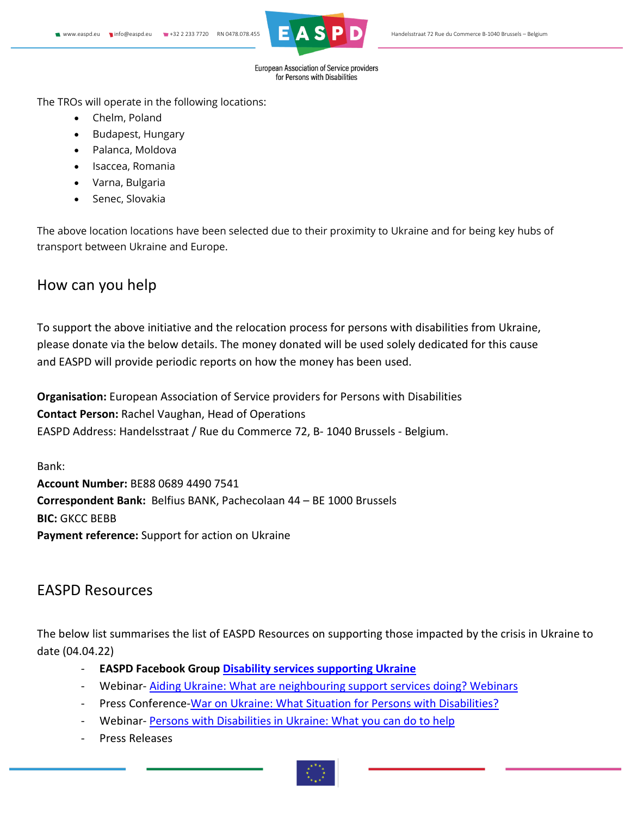

European Association of Service providers for Persons with Disabilities

The TROs will operate in the following locations:

- Chelm, Poland
- Budapest, Hungary
- Palanca, Moldova
- Isaccea, Romania
- Varna, Bulgaria
- Senec, Slovakia

The above location locations have been selected due to their proximity to Ukraine and for being key hubs of transport between Ukraine and Europe.

## How can you help

To support the above initiative and the relocation process for persons with disabilities from Ukraine, please donate via the below details. The money donated will be used solely dedicated for this cause and EASPD will provide periodic reports on how the money has been used.

**Organisation:** European Association of Service providers for Persons with Disabilities **Contact Person:** Rachel Vaughan, Head of Operations EASPD Address: Handelsstraat / Rue du Commerce 72, B- 1040 Brussels - Belgium.

Bank: **Account Number:** BE88 0689 4490 7541 **Correspondent Bank:** Belfius BANK, Pachecolaan 44 – BE 1000 Brussels **BIC:** GKCC BEBB **Payment reference:** Support for action on Ukraine

## EASPD Resources

The below list summarises the list of EASPD Resources on supporting those impacted by the crisis in Ukraine to date (04.04.22)

- **EASPD Facebook Group [Disability services supporting Ukraine](https://www.facebook.com/groups/5231899450166169/)**
- Webinar- [Aiding Ukraine: What are neighbouring support services doing? Webinars](https://www.facebook.com/watch/live/?ref=watch_permalink&v=4458953154204647)
- Press Conference[-War on Ukraine: What Situation for Persons with Disabilities?](https://www.youtube.com/watch?v=W5X8o3xVHdw&t=1s)
- Webinar-[Persons with Disabilities in Ukraine: What you can do to help](https://www.youtube.com/watch?v=TCz7sTvn0M4)
- Press Releases